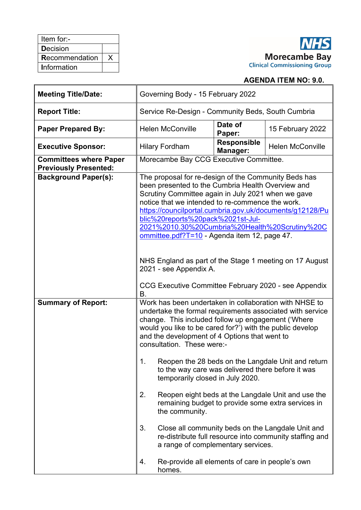| Item for:-      |  |
|-----------------|--|
| <b>Decision</b> |  |
| Recommendation  |  |
| Information     |  |
|                 |  |



#### **AGENDA ITEM NO: 9.0.**

| <b>Meeting Title/Date:</b>                                    | Governing Body - 15 February 2022                                                                                                                                                                                                                                                                                                                                                                                                                                                 |                                |                                                                                                              |
|---------------------------------------------------------------|-----------------------------------------------------------------------------------------------------------------------------------------------------------------------------------------------------------------------------------------------------------------------------------------------------------------------------------------------------------------------------------------------------------------------------------------------------------------------------------|--------------------------------|--------------------------------------------------------------------------------------------------------------|
| <b>Report Title:</b>                                          | Service Re-Design - Community Beds, South Cumbria                                                                                                                                                                                                                                                                                                                                                                                                                                 |                                |                                                                                                              |
| <b>Paper Prepared By:</b>                                     | Date of<br><b>Helen McConville</b><br>Paper:                                                                                                                                                                                                                                                                                                                                                                                                                                      |                                | 15 February 2022                                                                                             |
| <b>Executive Sponsor:</b>                                     | <b>Hilary Fordham</b>                                                                                                                                                                                                                                                                                                                                                                                                                                                             | <b>Responsible</b><br>Manager: | <b>Helen McConville</b>                                                                                      |
| <b>Committees where Paper</b><br><b>Previously Presented:</b> | Morecambe Bay CCG Executive Committee.                                                                                                                                                                                                                                                                                                                                                                                                                                            |                                |                                                                                                              |
| <b>Background Paper(s):</b>                                   | The proposal for re-design of the Community Beds has<br>been presented to the Cumbria Health Overview and<br>Scrutiny Committee again in July 2021 when we gave<br>notice that we intended to re-commence the work.<br>https://councilportal.cumbria.gov.uk/documents/g12128/Pu<br>blic%20reports%20pack%2021st-Jul-<br>2021%2010.30%20Cumbria%20Health%20Scrutiny%20C<br>ommittee.pdf?T=10 - Agenda item 12, page 47.<br>NHS England as part of the Stage 1 meeting on 17 August |                                |                                                                                                              |
|                                                               | 2021 - see Appendix A.<br>CCG Executive Committee February 2020 - see Appendix<br>B.                                                                                                                                                                                                                                                                                                                                                                                              |                                |                                                                                                              |
| <b>Summary of Report:</b>                                     | Work has been undertaken in collaboration with NHSE to<br>undertake the formal requirements associated with service<br>change. This included follow up engagement ('Where<br>would you like to be cared for?') with the public develop<br>and the development of 4 Options that went to<br>consultation. These were:-                                                                                                                                                             |                                |                                                                                                              |
|                                                               | 1.<br>to the way care was delivered there before it was<br>temporarily closed in July 2020.                                                                                                                                                                                                                                                                                                                                                                                       |                                | Reopen the 28 beds on the Langdale Unit and return                                                           |
|                                                               | 2.<br>the community.                                                                                                                                                                                                                                                                                                                                                                                                                                                              |                                | Reopen eight beds at the Langdale Unit and use the<br>remaining budget to provide some extra services in     |
|                                                               | 3.<br>a range of complementary services.                                                                                                                                                                                                                                                                                                                                                                                                                                          |                                | Close all community beds on the Langdale Unit and<br>re-distribute full resource into community staffing and |
|                                                               | Re-provide all elements of care in people's own<br>4.<br>homes.                                                                                                                                                                                                                                                                                                                                                                                                                   |                                |                                                                                                              |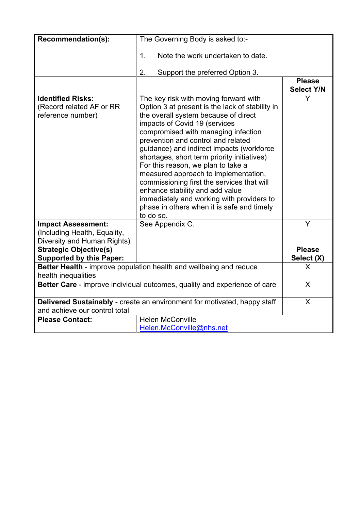| Recommendation(s):                                                                       | The Governing Body is asked to:-                                                                                                                                                                                                                                                                                                                                                                                                                                                                                                                                         |                        |  |
|------------------------------------------------------------------------------------------|--------------------------------------------------------------------------------------------------------------------------------------------------------------------------------------------------------------------------------------------------------------------------------------------------------------------------------------------------------------------------------------------------------------------------------------------------------------------------------------------------------------------------------------------------------------------------|------------------------|--|
|                                                                                          | Note the work undertaken to date.<br>$\mathbf 1$ .                                                                                                                                                                                                                                                                                                                                                                                                                                                                                                                       |                        |  |
|                                                                                          | 2.<br>Support the preferred Option 3.                                                                                                                                                                                                                                                                                                                                                                                                                                                                                                                                    |                        |  |
|                                                                                          |                                                                                                                                                                                                                                                                                                                                                                                                                                                                                                                                                                          | <b>Please</b>          |  |
| <b>Identified Risks:</b>                                                                 | The key risk with moving forward with                                                                                                                                                                                                                                                                                                                                                                                                                                                                                                                                    | <b>Select Y/N</b><br>Y |  |
| (Record related AF or RR<br>reference number)                                            | Option 3 at present is the lack of stability in<br>the overall system because of direct<br>impacts of Covid 19 (services<br>compromised with managing infection<br>prevention and control and related<br>guidance) and indirect impacts (workforce<br>shortages, short term priority initiatives)<br>For this reason, we plan to take a<br>measured approach to implementation,<br>commissioning first the services that will<br>enhance stability and add value<br>immediately and working with providers to<br>phase in others when it is safe and timely<br>to do so. |                        |  |
| <b>Impact Assessment:</b><br>(Including Health, Equality,<br>Diversity and Human Rights) | See Appendix C.                                                                                                                                                                                                                                                                                                                                                                                                                                                                                                                                                          | Y                      |  |
| <b>Strategic Objective(s)</b>                                                            |                                                                                                                                                                                                                                                                                                                                                                                                                                                                                                                                                                          | <b>Please</b>          |  |
| <b>Supported by this Paper:</b>                                                          |                                                                                                                                                                                                                                                                                                                                                                                                                                                                                                                                                                          | Select (X)             |  |
|                                                                                          | Better Health - improve population health and wellbeing and reduce                                                                                                                                                                                                                                                                                                                                                                                                                                                                                                       | X                      |  |
| health inequalities                                                                      |                                                                                                                                                                                                                                                                                                                                                                                                                                                                                                                                                                          |                        |  |
| Better Care - improve individual outcomes, quality and experience of care<br>X           |                                                                                                                                                                                                                                                                                                                                                                                                                                                                                                                                                                          |                        |  |
| and achieve our control total                                                            | <b>Delivered Sustainably</b> - create an environment for motivated, happy staff                                                                                                                                                                                                                                                                                                                                                                                                                                                                                          | X                      |  |
| <b>Please Contact:</b>                                                                   | <b>Helen McConville</b>                                                                                                                                                                                                                                                                                                                                                                                                                                                                                                                                                  |                        |  |
|                                                                                          | Helen.McConville@nhs.net                                                                                                                                                                                                                                                                                                                                                                                                                                                                                                                                                 |                        |  |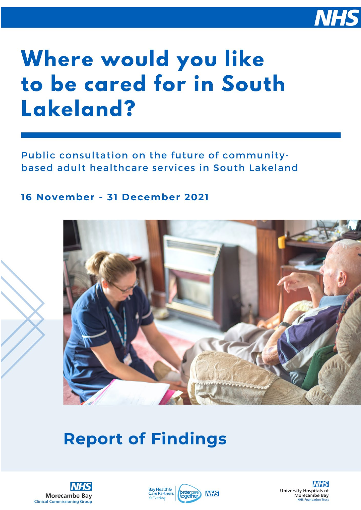

# Where would you like to be cared for in South Lakeland?

Public consultation on the future of communitybased adult healthcare services in South Lakeland

# 16 November - 31 December 2021



# **Report of Findings**





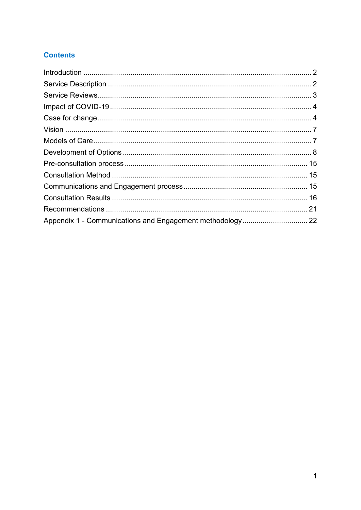#### **Contents**

| Appendix 1 - Communications and Engagement methodology 22 |  |
|-----------------------------------------------------------|--|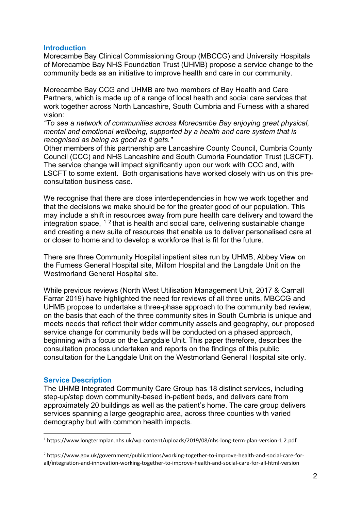#### <span id="page-4-0"></span>**Introduction**

Morecambe Bay Clinical Commissioning Group (MBCCG) and University Hospitals of Morecambe Bay NHS Foundation Trust (UHMB) propose a service change to the community beds as an initiative to improve health and care in our community.

Morecambe Bay CCG and UHMB are two members of Bay Health and Care Partners, which is made up of a range of local health and social care services that work together across North Lancashire, South Cumbria and Furness with a shared vision:

*"To see a network of communities across Morecambe Bay enjoying great physical, mental and emotional wellbeing, supported by a health and care system that is recognised as being as good as it gets."*

Other members of this partnership are Lancashire County Council, Cumbria County Council (CCC) and NHS Lancashire and South Cumbria Foundation Trust (LSCFT). The service change will impact significantly upon our work with CCC and, with LSCFT to some extent. Both organisations have worked closely with us on this preconsultation business case.

We recognise that there are close interdependencies in how we work together and that the decisions we make should be for the greater good of our population. This may include a shift in resources away from pure health care delivery and toward the integration space,  $1^2$  $1^2$  $1^2$  that is health and social care, delivering sustainable change and creating a new suite of resources that enable us to deliver personalised care at or closer to home and to develop a workforce that is fit for the future.

There are three Community Hospital inpatient sites run by UHMB, Abbey View on the Furness General Hospital site, Millom Hospital and the Langdale Unit on the Westmorland General Hospital site.

While previous reviews (North West Utilisation Management Unit, 2017 & Carnall Farrar 2019) have highlighted the need for reviews of all three units, MBCCG and UHMB propose to undertake a three-phase approach to the community bed review, on the basis that each of the three community sites in South Cumbria is unique and meets needs that reflect their wider community assets and geography, our proposed service change for community beds will be conducted on a phased approach, beginning with a focus on the Langdale Unit. This paper therefore, describes the consultation process undertaken and reports on the findings of this public consultation for the Langdale Unit on the Westmorland General Hospital site only.

#### <span id="page-4-1"></span>**Service Description**

The UHMB Integrated Community Care Group has 18 distinct services, including step-up/step down community-based in-patient beds, and delivers care from approximately 20 buildings as well as the patient's home. The care group delivers services spanning a large geographic area, across three counties with varied demography but with common health impacts.

<span id="page-4-2"></span><sup>1</sup> https://www.longtermplan.nhs.uk/wp-content/uploads/2019/08/nhs-long-term-plan-version-1.2.pdf

<span id="page-4-3"></span><sup>2</sup> https://www.gov.uk/government/publications/working-together-to-improve-health-and-social-care-forall/integration-and-innovation-working-together-to-improve-health-and-social-care-for-all-html-version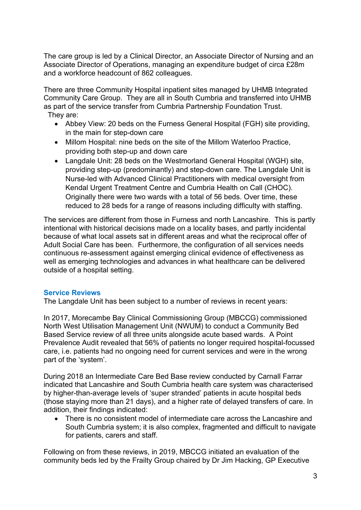The care group is led by a Clinical Director, an Associate Director of Nursing and an Associate Director of Operations, managing an expenditure budget of circa £28m and a workforce headcount of 862 colleagues.

There are three Community Hospital inpatient sites managed by UHMB Integrated Community Care Group. They are all in South Cumbria and transferred into UHMB as part of the service transfer from Cumbria Partnership Foundation Trust. They are:

- Abbey View: 20 beds on the Furness General Hospital (FGH) site providing, in the main for step-down care
- Millom Hospital: nine beds on the site of the Millom Waterloo Practice, providing both step-up and down care
- Langdale Unit: 28 beds on the Westmorland General Hospital (WGH) site, providing step-up (predominantly) and step-down care. The Langdale Unit is Nurse-led with Advanced Clinical Practitioners with medical oversight from Kendal Urgent Treatment Centre and Cumbria Health on Call (CHOC). Originally there were two wards with a total of 56 beds. Over time, these reduced to 28 beds for a range of reasons including difficulty with staffing.

The services are different from those in Furness and north Lancashire. This is partly intentional with historical decisions made on a locality bases, and partly incidental because of what local assets sat in different areas and what the reciprocal offer of Adult Social Care has been. Furthermore, the configuration of all services needs continuous re-assessment against emerging clinical evidence of effectiveness as well as emerging technologies and advances in what healthcare can be delivered outside of a hospital setting.

#### <span id="page-5-0"></span>**Service Reviews**

The Langdale Unit has been subject to a number of reviews in recent years:

In 2017, Morecambe Bay Clinical Commissioning Group (MBCCG) commissioned North West Utilisation Management Unit (NWUM) to conduct a Community Bed Based Service review of all three units alongside acute based wards. A Point Prevalence Audit revealed that 56% of patients no longer required hospital-focussed care, i.e. patients had no ongoing need for current services and were in the wrong part of the 'system'.

During 2018 an Intermediate Care Bed Base review conducted by Carnall Farrar indicated that Lancashire and South Cumbria health care system was characterised by higher-than-average levels of 'super stranded' patients in acute hospital beds (those staying more than 21 days), and a higher rate of delayed transfers of care. In addition, their findings indicated:

• There is no consistent model of intermediate care across the Lancashire and South Cumbria system; it is also complex, fragmented and difficult to navigate for patients, carers and staff.

Following on from these reviews, in 2019, MBCCG initiated an evaluation of the community beds led by the Frailty Group chaired by Dr Jim Hacking, GP Executive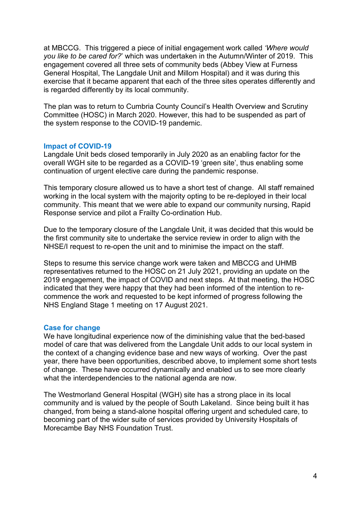at MBCCG. This triggered a piece of initial engagement work called *'Where would you like to be cared for?*' which was undertaken in the Autumn/Winter of 2019. This engagement covered all three sets of community beds (Abbey View at Furness General Hospital, The Langdale Unit and Millom Hospital) and it was during this exercise that it became apparent that each of the three sites operates differently and is regarded differently by its local community.

The plan was to return to Cumbria County Council's Health Overview and Scrutiny Committee (HOSC) in March 2020. However, this had to be suspended as part of the system response to the COVID-19 pandemic.

#### <span id="page-6-0"></span>**Impact of COVID-19**

Langdale Unit beds closed temporarily in July 2020 as an enabling factor for the overall WGH site to be regarded as a COVID-19 'green site', thus enabling some continuation of urgent elective care during the pandemic response.

This temporary closure allowed us to have a short test of change. All staff remained working in the local system with the majority opting to be re-deployed in their local community. This meant that we were able to expand our community nursing, Rapid Response service and pilot a Frailty Co-ordination Hub.

Due to the temporary closure of the Langdale Unit, it was decided that this would be the first community site to undertake the service review in order to align with the NHSE/I request to re-open the unit and to minimise the impact on the staff.

Steps to resume this service change work were taken and MBCCG and UHMB representatives returned to the HOSC on 21 July 2021, providing an update on the 2019 engagement, the impact of COVID and next steps. At that meeting, the HOSC indicated that they were happy that they had been informed of the intention to recommence the work and requested to be kept informed of progress following the NHS England Stage 1 meeting on 17 August 2021.

#### <span id="page-6-1"></span>**Case for change**

We have longitudinal experience now of the diminishing value that the bed-based model of care that was delivered from the Langdale Unit adds to our local system in the context of a changing evidence base and new ways of working. Over the past year, there have been opportunities, described above, to implement some short tests of change. These have occurred dynamically and enabled us to see more clearly what the interdependencies to the national agenda are now.

The Westmorland General Hospital (WGH) site has a strong place in its local community and is valued by the people of South Lakeland. Since being built it has changed, from being a stand-alone hospital offering urgent and scheduled care, to becoming part of the wider suite of services provided by University Hospitals of Morecambe Bay NHS Foundation Trust.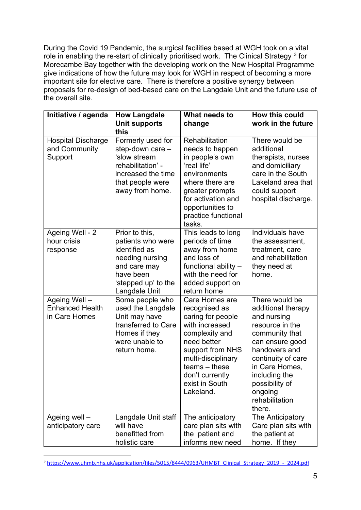During the Covid 19 Pandemic, the surgical facilities based at WGH took on a vital role in enabling the re-start of clinically prioritised work. The Clinical Strategy<sup>[3](#page-7-0)</sup> for Morecambe Bay together with the developing work on the New Hospital Programme give indications of how the future may look for WGH in respect of becoming a more important site for elective care. There is therefore a positive synergy between proposals for re-design of bed-based care on the Langdale Unit and the future use of the overall site.

| Initiative / agenda                                      | <b>How Langdale</b><br><b>Unit supports</b><br>this                                                                                          | What needs to<br>change                                                                                                                                                                                                | <b>How this could</b><br>work in the future                                                                                                                                                                                                    |
|----------------------------------------------------------|----------------------------------------------------------------------------------------------------------------------------------------------|------------------------------------------------------------------------------------------------------------------------------------------------------------------------------------------------------------------------|------------------------------------------------------------------------------------------------------------------------------------------------------------------------------------------------------------------------------------------------|
| <b>Hospital Discharge</b><br>and Community<br>Support    | Formerly used for<br>step-down care -<br>'slow stream<br>rehabilitation' -<br>increased the time<br>that people were<br>away from home.      | Rehabilitation<br>needs to happen<br>in people's own<br>'real life'<br>environments<br>where there are<br>greater prompts<br>for activation and<br>opportunities to<br>practice functional<br>tasks.                   | There would be<br>additional<br>therapists, nurses<br>and domiciliary<br>care in the South<br>Lakeland area that<br>could support<br>hospital discharge.                                                                                       |
| Ageing Well - 2<br>hour crisis<br>response               | Prior to this,<br>patients who were<br>identified as<br>needing nursing<br>and care may<br>have been<br>'stepped up' to the<br>Langdale Unit | This leads to long<br>periods of time<br>away from home<br>and loss of<br>functional ability -<br>with the need for<br>added support on<br>return home                                                                 | Individuals have<br>the assessment,<br>treatment, care<br>and rehabilitation<br>they need at<br>home.                                                                                                                                          |
| Ageing Well -<br><b>Enhanced Health</b><br>in Care Homes | Some people who<br>used the Langdale<br>Unit may have<br>transferred to Care<br>Homes if they<br>were unable to<br>return home.              | Care Homes are<br>recognised as<br>caring for people<br>with increased<br>complexity and<br>need better<br>support from NHS<br>multi-disciplinary<br>$teams - these$<br>don't currently<br>exist in South<br>Lakeland. | There would be<br>additional therapy<br>and nursing<br>resource in the<br>community that<br>can ensure good<br>handovers and<br>continuity of care<br>in Care Homes,<br>including the<br>possibility of<br>ongoing<br>rehabilitation<br>there. |
| Ageing well -<br>anticipatory care                       | Langdale Unit staff<br>will have<br>benefitted from                                                                                          | The anticipatory<br>care plan sits with<br>the patient and<br>informs new need                                                                                                                                         | The Anticipatory<br>Care plan sits with<br>the patient at<br>home. If they                                                                                                                                                                     |
|                                                          | holistic care                                                                                                                                |                                                                                                                                                                                                                        |                                                                                                                                                                                                                                                |

<span id="page-7-0"></span><sup>&</sup>lt;sup>3</sup> [https://www.uhmb.nhs.uk/application/files/5015/8444/0963/UHMBT\\_Clinical\\_Strategy\\_2019\\_-\\_2024.pdf](https://www.uhmb.nhs.uk/application/files/5015/8444/0963/UHMBT_Clinical_Strategy_2019_-_2024.pdf)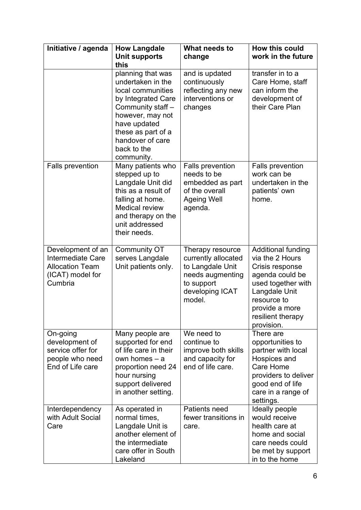| Initiative / agenda                                                                             | <b>How Langdale</b><br><b>Unit supports</b><br>this                                                                                                                                                               | What needs to<br>change                                                                                                    | How this could<br>work in the future                                                                                                                                                          |
|-------------------------------------------------------------------------------------------------|-------------------------------------------------------------------------------------------------------------------------------------------------------------------------------------------------------------------|----------------------------------------------------------------------------------------------------------------------------|-----------------------------------------------------------------------------------------------------------------------------------------------------------------------------------------------|
|                                                                                                 | planning that was<br>undertaken in the<br>local communities<br>by Integrated Care<br>Community staff -<br>however, may not<br>have updated<br>these as part of a<br>handover of care<br>back to the<br>community. | and is updated<br>continuously<br>reflecting any new<br>interventions or<br>changes                                        | transfer in to a<br>Care Home, staff<br>can inform the<br>development of<br>their Care Plan                                                                                                   |
| <b>Falls prevention</b>                                                                         | Many patients who<br>stepped up to<br>Langdale Unit did<br>this as a result of<br>falling at home.<br><b>Medical review</b><br>and therapy on the<br>unit addressed<br>their needs.                               | <b>Falls prevention</b><br>needs to be<br>embedded as part<br>of the overall<br><b>Ageing Well</b><br>agenda.              | <b>Falls prevention</b><br>work can be<br>undertaken in the<br>patients' own<br>home.                                                                                                         |
| Development of an<br>Intermediate Care<br><b>Allocation Team</b><br>(ICAT) model for<br>Cumbria | <b>Community OT</b><br>serves Langdale<br>Unit patients only.                                                                                                                                                     | Therapy resource<br>currently allocated<br>to Langdale Unit<br>needs augmenting<br>to support<br>developing ICAT<br>model. | <b>Additional funding</b><br>via the 2 Hours<br>Crisis response<br>agenda could be<br>used together with<br>Langdale Unit<br>resource to<br>provide a more<br>resilient therapy<br>provision. |
| On-going<br>development of<br>service offer for<br>people who need<br>End of Life care          | Many people are<br>supported for end<br>of life care in their<br>own homes $-$ a<br>proportion need 24<br>hour nursing<br>support delivered<br>in another setting.                                                | We need to<br>continue to<br>improve both skills<br>and capacity for<br>end of life care.                                  | There are<br>opportunities to<br>partner with local<br>Hospices and<br><b>Care Home</b><br>providers to deliver<br>good end of life<br>care in a range of<br>settings.                        |
| Interdependency<br>with Adult Social<br>Care                                                    | As operated in<br>normal times,<br>Langdale Unit is<br>another element of<br>the intermediate<br>care offer in South<br>Lakeland                                                                                  | Patients need<br>fewer transitions in<br>care.                                                                             | Ideally people<br>would receive<br>health care at<br>home and social<br>care needs could<br>be met by support<br>in to the home                                                               |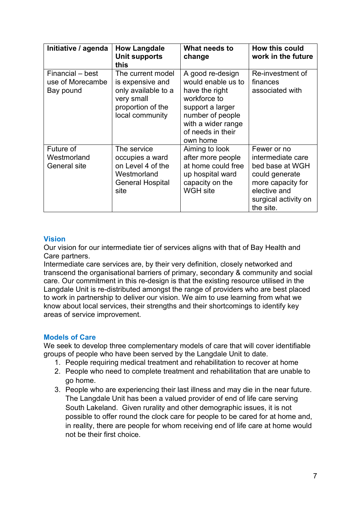| Initiative / agenda                               | <b>How Langdale</b><br><b>Unit supports</b><br>this                                                                | What needs to<br>change                                                                                                                                                 | How this could<br>work in the future                                                                                                            |
|---------------------------------------------------|--------------------------------------------------------------------------------------------------------------------|-------------------------------------------------------------------------------------------------------------------------------------------------------------------------|-------------------------------------------------------------------------------------------------------------------------------------------------|
| Financial – best<br>use of Morecambe<br>Bay pound | The current model<br>is expensive and<br>only available to a<br>very small<br>proportion of the<br>local community | A good re-design<br>would enable us to<br>have the right<br>workforce to<br>support a larger<br>number of people<br>with a wider range<br>of needs in their<br>own home | Re-investment of<br>finances<br>associated with                                                                                                 |
| Future of<br>Westmorland<br><b>General site</b>   | The service<br>occupies a ward<br>on Level 4 of the<br>Westmorland<br><b>General Hospital</b><br>site              | Aiming to look<br>after more people<br>at home could free<br>up hospital ward<br>capacity on the<br><b>WGH</b> site                                                     | Fewer or no<br>intermediate care<br>bed base at WGH<br>could generate<br>more capacity for<br>elective and<br>surgical activity on<br>the site. |

#### <span id="page-9-0"></span>**Vision**

Our vision for our intermediate tier of services aligns with that of Bay Health and Care partners.

Intermediate care services are, by their very definition, closely networked and transcend the organisational barriers of primary, secondary & community and social care. Our commitment in this re-design is that the existing resource utilised in the Langdale Unit is re-distributed amongst the range of providers who are best placed to work in partnership to deliver our vision. We aim to use learning from what we know about local services, their strengths and their shortcomings to identify key areas of service improvement.

#### <span id="page-9-1"></span>**Models of Care**

We seek to develop three complementary models of care that will cover identifiable groups of people who have been served by the Langdale Unit to date.

- 1. People requiring medical treatment and rehabilitation to recover at home
- 2. People who need to complete treatment and rehabilitation that are unable to go home.
- 3. People who are experiencing their last illness and may die in the near future. The Langdale Unit has been a valued provider of end of life care serving South Lakeland. Given rurality and other demographic issues, it is not possible to offer round the clock care for people to be cared for at home and, in reality, there are people for whom receiving end of life care at home would not be their first choice.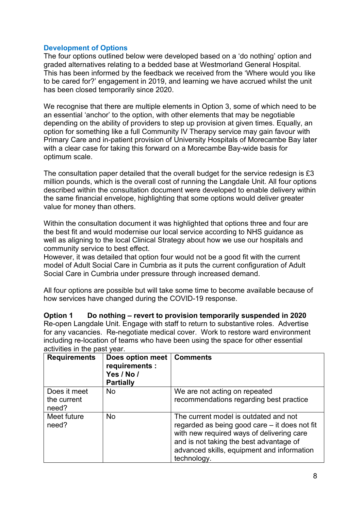#### <span id="page-10-0"></span>**Development of Options**

The four options outlined below were developed based on a 'do nothing' option and graded alternatives relating to a bedded base at Westmorland General Hospital. This has been informed by the feedback we received from the 'Where would you like to be cared for?' engagement in 2019, and learning we have accrued whilst the unit has been closed temporarily since 2020.

We recognise that there are multiple elements in Option 3, some of which need to be an essential 'anchor' to the option, with other elements that may be negotiable depending on the ability of providers to step up provision at given times. Equally, an option for something like a full Community IV Therapy service may gain favour with Primary Care and in-patient provision of University Hospitals of Morecambe Bay later with a clear case for taking this forward on a Morecambe Bay-wide basis for optimum scale.

The consultation paper detailed that the overall budget for the service redesign is £3 million pounds, which is the overall cost of running the Langdale Unit. All four options described within the consultation document were developed to enable delivery within the same financial envelope, highlighting that some options would deliver greater value for money than others.

Within the consultation document it was highlighted that options three and four are the best fit and would modernise our local service according to NHS guidance as well as aligning to the local Clinical Strategy about how we use our hospitals and community service to best effect.

However, it was detailed that option four would not be a good fit with the current model of Adult Social Care in Cumbria as it puts the current configuration of Adult Social Care in Cumbria under pressure through increased demand.

All four options are possible but will take some time to become available because of how services have changed during the COVID-19 response.

**Option 1 Do nothing – revert to provision temporarily suspended in 2020** Re-open Langdale Unit. Engage with staff to return to substantive roles. Advertise for any vacancies. Re-negotiate medical cover. Work to restore ward environment including re-location of teams who have been using the space for other essential activities in the past year.

| <b>Requirements</b>                  | Does option meet<br>requirements :<br>Yes / No /<br><b>Partially</b> | <b>Comments</b>                                                                                                                                                                                                                             |
|--------------------------------------|----------------------------------------------------------------------|---------------------------------------------------------------------------------------------------------------------------------------------------------------------------------------------------------------------------------------------|
| Does it meet<br>the current<br>need? | No.                                                                  | We are not acting on repeated<br>recommendations regarding best practice                                                                                                                                                                    |
| Meet future<br>need?                 | <b>No</b>                                                            | The current model is outdated and not<br>regarded as being good care – it does not fit<br>with new required ways of delivering care<br>and is not taking the best advantage of<br>advanced skills, equipment and information<br>technology. |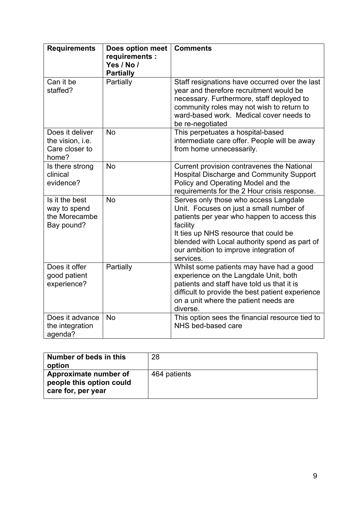| <b>Requirements</b>                                            | Does option meet<br>requirements :<br>Yes / No /<br><b>Partially</b> | <b>Comments</b>                                                                                                                                                                                                                                                                              |
|----------------------------------------------------------------|----------------------------------------------------------------------|----------------------------------------------------------------------------------------------------------------------------------------------------------------------------------------------------------------------------------------------------------------------------------------------|
| Can it be<br>staffed?                                          | Partially                                                            | Staff resignations have occurred over the last<br>year and therefore recruitment would be<br>necessary. Furthermore, staff deployed to<br>community roles may not wish to return to<br>ward-based work. Medical cover needs to<br>be re-negotiated                                           |
| Does it deliver<br>the vision, i.e.<br>Care closer to<br>home? | <b>No</b>                                                            | This perpetuates a hospital-based<br>intermediate care offer. People will be away<br>from home unnecessarily.                                                                                                                                                                                |
| Is there strong<br>clinical<br>evidence?                       | <b>No</b>                                                            | Current provision contravenes the National<br><b>Hospital Discharge and Community Support</b><br>Policy and Operating Model and the<br>requirements for the 2 Hour crisis response.                                                                                                          |
| Is it the best<br>way to spend<br>the Morecambe<br>Bay pound?  | <b>No</b>                                                            | Serves only those who access Langdale<br>Unit. Focuses on just a small number of<br>patients per year who happen to access this<br>facility<br>It ties up NHS resource that could be<br>blended with Local authority spend as part of<br>our ambition to improve integration of<br>services. |
| Does it offer<br>good patient<br>experience?                   | Partially                                                            | Whilst some patients may have had a good<br>experience on the Langdale Unit, both<br>patients and staff have told us that it is<br>difficult to provide the best patient experience<br>on a unit where the patient needs are<br>diverse.                                                     |
| Does it advance<br>the integration<br>agenda?                  | <b>No</b>                                                            | This option sees the financial resource tied to<br>NHS bed-based care                                                                                                                                                                                                                        |

| Number of beds in this<br>option                                        | 28           |
|-------------------------------------------------------------------------|--------------|
| Approximate number of<br>people this option could<br>care for, per year | 464 patients |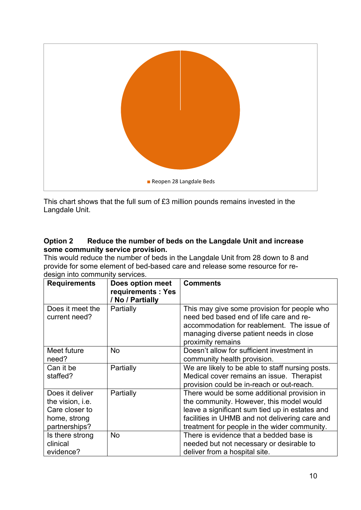

This chart shows that the full sum of £3 million pounds remains invested in the Langdale Unit.

#### **Option 2 Reduce the number of beds on the Langdale Unit and increase some community service provision.**

This would reduce the number of beds in the Langdale Unit from 28 down to 8 and provide for some element of bed-based care and release some resource for redesign into community services.

| <b>Requirements</b>                                                                    | Does option meet<br>requirements : Yes<br>/ No / Partially | <b>Comments</b>                                                                                                                                                                                                                             |
|----------------------------------------------------------------------------------------|------------------------------------------------------------|---------------------------------------------------------------------------------------------------------------------------------------------------------------------------------------------------------------------------------------------|
| Does it meet the<br>current need?                                                      | Partially                                                  | This may give some provision for people who<br>need bed based end of life care and re-<br>accommodation for reablement. The issue of<br>managing diverse patient needs in close<br>proximity remains                                        |
| Meet future<br>need?                                                                   | <b>No</b>                                                  | Doesn't allow for sufficient investment in<br>community health provision.                                                                                                                                                                   |
| Can it be<br>staffed?                                                                  | Partially                                                  | We are likely to be able to staff nursing posts.<br>Medical cover remains an issue. Therapist<br>provision could be in-reach or out-reach.                                                                                                  |
| Does it deliver<br>the vision, i.e.<br>Care closer to<br>home, strong<br>partnerships? | Partially                                                  | There would be some additional provision in<br>the community. However, this model would<br>leave a significant sum tied up in estates and<br>facilities in UHMB and not delivering care and<br>treatment for people in the wider community. |
| Is there strong<br>clinical<br>evidence?                                               | <b>No</b>                                                  | There is evidence that a bedded base is<br>needed but not necessary or desirable to<br>deliver from a hospital site.                                                                                                                        |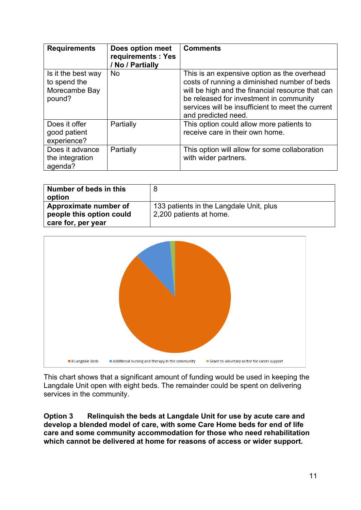| <b>Requirements</b>                                           | Does option meet<br>requirements : Yes<br>/ No / Partially | <b>Comments</b>                                                                                                                                                                                                                                                        |
|---------------------------------------------------------------|------------------------------------------------------------|------------------------------------------------------------------------------------------------------------------------------------------------------------------------------------------------------------------------------------------------------------------------|
| Is it the best way<br>to spend the<br>Morecambe Bay<br>pound? | <b>No</b>                                                  | This is an expensive option as the overhead<br>costs of running a diminished number of beds<br>will be high and the financial resource that can<br>be released for investment in community<br>services will be insufficient to meet the current<br>and predicted need. |
| Does it offer<br>good patient<br>experience?                  | Partially                                                  | This option could allow more patients to<br>receive care in their own home.                                                                                                                                                                                            |
| Does it advance<br>the integration<br>agenda?                 | Partially                                                  | This option will allow for some collaboration<br>with wider partners.                                                                                                                                                                                                  |

| Number of beds in this<br>option               |                                         |
|------------------------------------------------|-----------------------------------------|
| Approximate number of                          | 133 patients in the Langdale Unit, plus |
| people this option could<br>care for, per year | 2,200 patients at home.                 |



This chart shows that a significant amount of funding would be used in keeping the Langdale Unit open with eight beds. The remainder could be spent on delivering services in the community.

**Option 3 Relinquish the beds at Langdale Unit for use by acute care and develop a blended model of care, with some Care Home beds for end of life care and some community accommodation for those who need rehabilitation which cannot be delivered at home for reasons of access or wider support.**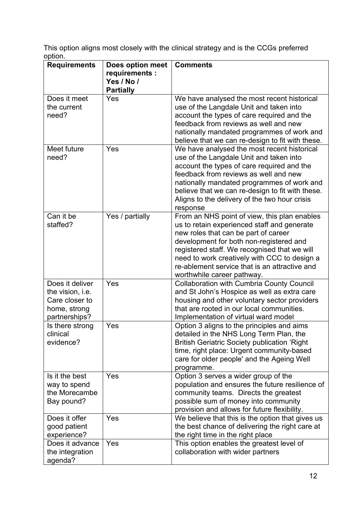This option aligns most closely with the clinical strategy and is the CCGs preferred option.

| <b>Requirements</b>     | Does option meet | <b>Comments</b>                                     |
|-------------------------|------------------|-----------------------------------------------------|
|                         | requirements :   |                                                     |
|                         | Yes / No /       |                                                     |
|                         | <b>Partially</b> |                                                     |
| Does it meet            | Yes              | We have analysed the most recent historical         |
| the current             |                  | use of the Langdale Unit and taken into             |
| need?                   |                  | account the types of care required and the          |
|                         |                  | feedback from reviews as well and new               |
|                         |                  | nationally mandated programmes of work and          |
|                         |                  | believe that we can re-design to fit with these.    |
| Meet future             | Yes              | We have analysed the most recent historical         |
| need?                   |                  | use of the Langdale Unit and taken into             |
|                         |                  | account the types of care required and the          |
|                         |                  | feedback from reviews as well and new               |
|                         |                  | nationally mandated programmes of work and          |
|                         |                  | believe that we can re-design to fit with these.    |
|                         |                  | Aligns to the delivery of the two hour crisis       |
|                         |                  | response                                            |
| Can it be               | Yes / partially  | From an NHS point of view, this plan enables        |
| staffed?                |                  | us to retain experienced staff and generate         |
|                         |                  | new roles that can be part of career                |
|                         |                  | development for both non-registered and             |
|                         |                  | registered staff. We recognised that we will        |
|                         |                  | need to work creatively with CCC to design a        |
|                         |                  | re-ablement service that is an attractive and       |
|                         |                  | worthwhile career pathway.                          |
| Does it deliver         | Yes              | <b>Collaboration with Cumbria County Council</b>    |
| the vision, <i>i.e.</i> |                  | and St John's Hospice as well as extra care         |
| Care closer to          |                  | housing and other voluntary sector providers        |
| home, strong            |                  | that are rooted in our local communities.           |
| partnerships?           |                  | Implementation of virtual ward model                |
| Is there strong         | Yes              | Option 3 aligns to the principles and aims          |
| clinical                |                  | detailed in the NHS Long Term Plan, the             |
| evidence?               |                  | <b>British Geriatric Society publication 'Right</b> |
|                         |                  | time, right place: Urgent community-based           |
|                         |                  | care for older people' and the Ageing Well          |
|                         |                  | programme.                                          |
| Is it the best          | Yes              | Option 3 serves a wider group of the                |
| way to spend            |                  | population and ensures the future resilience of     |
| the Morecambe           |                  | community teams. Directs the greatest               |
| Bay pound?              |                  | possible sum of money into community                |
|                         |                  | provision and allows for future flexibility.        |
| Does it offer           | Yes              | We believe that this is the option that gives us    |
| good patient            |                  | the best chance of delivering the right care at     |
| experience?             |                  | the right time in the right place                   |
| Does it advance         | Yes              | This option enables the greatest level of           |
| the integration         |                  | collaboration with wider partners                   |
| agenda?                 |                  |                                                     |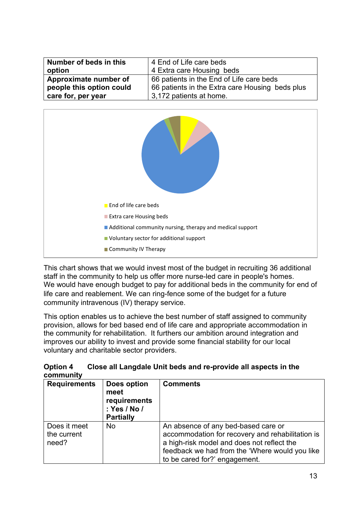| Number of beds in this   | 4 End of Life care beds                         |
|--------------------------|-------------------------------------------------|
| option                   | 4 Extra care Housing beds                       |
| Approximate number of    | 66 patients in the End of Life care beds        |
| people this option could | 66 patients in the Extra care Housing beds plus |
| care for, per year       | 3,172 patients at home.                         |



This chart shows that we would invest most of the budget in recruiting 36 additional staff in the community to help us offer more nurse-led care in people's homes. We would have enough budget to pay for additional beds in the community for end of life care and reablement. We can ring-fence some of the budget for a future community intravenous (IV) therapy service.

This option enables us to achieve the best number of staff assigned to community provision, allows for bed based end of life care and appropriate accommodation in the community for rehabilitation. It furthers our ambition around integration and improves our ability to invest and provide some financial stability for our local voluntary and charitable sector providers.

| <b>Option 4</b> | Close all Langdale Unit beds and re-provide all aspects in the |  |  |
|-----------------|----------------------------------------------------------------|--|--|
| community       |                                                                |  |  |

| <b>Requirements</b>                  | Does option<br>meet<br>requirements<br>: Yes / No /<br><b>Partially</b> | <b>Comments</b>                                                                                                                                                                                                          |
|--------------------------------------|-------------------------------------------------------------------------|--------------------------------------------------------------------------------------------------------------------------------------------------------------------------------------------------------------------------|
| Does it meet<br>the current<br>need? | <b>No</b>                                                               | An absence of any bed-based care or<br>accommodation for recovery and rehabilitation is<br>a high-risk model and does not reflect the<br>feedback we had from the 'Where would you like<br>to be cared for?' engagement. |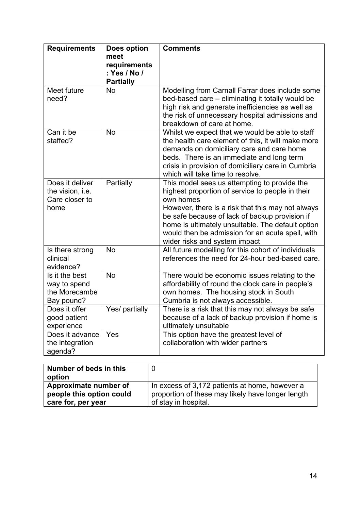| <b>Requirements</b>                                           | Does option<br>meet<br>requirements<br>: Yes / No /<br><b>Partially</b> | <b>Comments</b>                                                                                                                                                                                                                                                                                                                                                |
|---------------------------------------------------------------|-------------------------------------------------------------------------|----------------------------------------------------------------------------------------------------------------------------------------------------------------------------------------------------------------------------------------------------------------------------------------------------------------------------------------------------------------|
| Meet future<br>need?                                          | <b>No</b>                                                               | Modelling from Carnall Farrar does include some<br>bed-based care - eliminating it totally would be<br>high risk and generate inefficiencies as well as<br>the risk of unnecessary hospital admissions and<br>breakdown of care at home.                                                                                                                       |
| Can it be<br>staffed?                                         | <b>No</b>                                                               | Whilst we expect that we would be able to staff<br>the health care element of this, it will make more<br>demands on domiciliary care and care home<br>beds. There is an immediate and long term<br>crisis in provision of domiciliary care in Cumbria<br>which will take time to resolve.                                                                      |
| Does it deliver<br>the vision, i.e.<br>Care closer to<br>home | Partially                                                               | This model sees us attempting to provide the<br>highest proportion of service to people in their<br>own homes<br>However, there is a risk that this may not always<br>be safe because of lack of backup provision if<br>home is ultimately unsuitable. The default option<br>would then be admission for an acute spell, with<br>wider risks and system impact |
| Is there strong<br>clinical<br>evidence?                      | <b>No</b>                                                               | All future modelling for this cohort of individuals<br>references the need for 24-hour bed-based care.                                                                                                                                                                                                                                                         |
| Is it the best<br>way to spend<br>the Morecambe<br>Bay pound? | <b>No</b>                                                               | There would be economic issues relating to the<br>affordability of round the clock care in people's<br>own homes. The housing stock in South<br>Cumbria is not always accessible.                                                                                                                                                                              |
| Does it offer<br>good patient<br>experience                   | Yes/ partially                                                          | There is a risk that this may not always be safe<br>because of a lack of backup provision if home is<br>ultimately unsuitable                                                                                                                                                                                                                                  |
| Does it advance<br>the integration<br>agenda?                 | Yes                                                                     | This option have the greatest level of<br>collaboration with wider partners                                                                                                                                                                                                                                                                                    |

| Number of beds in this<br>option |                                                   |
|----------------------------------|---------------------------------------------------|
| Approximate number of            | In excess of 3,172 patients at home, however a    |
| people this option could         | proportion of these may likely have longer length |
| care for, per year               | of stay in hospital.                              |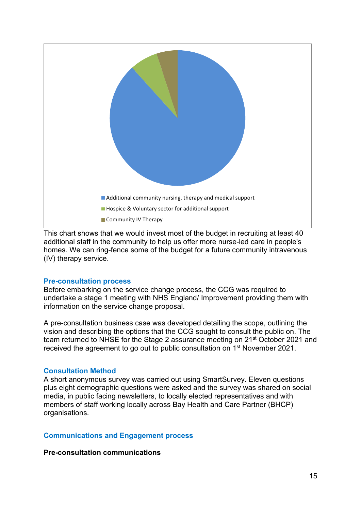

This chart shows that we would invest most of the budget in recruiting at least 40 additional staff in the community to help us offer more nurse-led care in people's homes. We can ring-fence some of the budget for a future community intravenous (IV) therapy service.

#### <span id="page-17-0"></span>**Pre-consultation process**

Before embarking on the service change process, the CCG was required to undertake a stage 1 meeting with NHS England/ Improvement providing them with information on the service change proposal.

A pre-consultation business case was developed detailing the scope, outlining the vision and describing the options that the CCG sought to consult the public on. The team returned to NHSE for the Stage 2 assurance meeting on 21st October 2021 and received the agreement to go out to public consultation on 1st November 2021.

#### <span id="page-17-1"></span>**Consultation Method**

A short anonymous survey was carried out using SmartSurvey. Eleven questions plus eight demographic questions were asked and the survey was shared on social media, in public facing newsletters, to locally elected representatives and with members of staff working locally across Bay Health and Care Partner (BHCP) organisations.

#### <span id="page-17-2"></span>**Communications and Engagement process**

#### **Pre-consultation communications**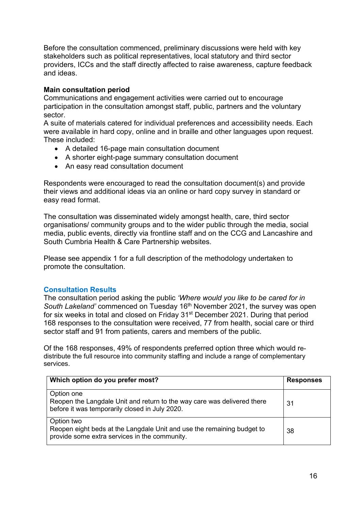Before the consultation commenced, preliminary discussions were held with key stakeholders such as political representatives, local statutory and third sector providers, ICCs and the staff directly affected to raise awareness, capture feedback and ideas.

#### **Main consultation period**

Communications and engagement activities were carried out to encourage participation in the consultation amongst staff, public, partners and the voluntary sector.

A suite of materials catered for individual preferences and accessibility needs. Each were available in hard copy, online and in braille and other languages upon request. These included:

- A detailed 16-page main consultation document
- A shorter eight-page summary consultation document
- An easy read consultation document

Respondents were encouraged to read the consultation document(s) and provide their views and additional ideas via an online or hard copy survey in standard or easy read format.

The consultation was disseminated widely amongst health, care, third sector organisations/ community groups and to the wider public through the media, social media, public events, directly via frontline staff and on the CCG and Lancashire and South Cumbria Health & Care Partnership websites.

Please see appendix 1 for a full description of the methodology undertaken to promote the consultation.

#### <span id="page-18-0"></span>**Consultation Results**

The consultation period asking the public *'Where would you like to be cared for in South Lakeland'* commenced on Tuesday 16<sup>th</sup> November 2021, the survey was open for six weeks in total and closed on Friday 31st December 2021. During that period 168 responses to the consultation were received, 77 from health, social care or third sector staff and 91 from patients, carers and members of the public.

Of the 168 responses, 49% of respondents preferred option three which would redistribute the full resource into community staffing and include a range of complementary services.

| Which option do you prefer most?                                                                                                        | <b>Responses</b> |
|-----------------------------------------------------------------------------------------------------------------------------------------|------------------|
| Option one<br>Reopen the Langdale Unit and return to the way care was delivered there<br>before it was temporarily closed in July 2020. | 31               |
| Option two<br>Reopen eight beds at the Langdale Unit and use the remaining budget to<br>provide some extra services in the community.   | 38               |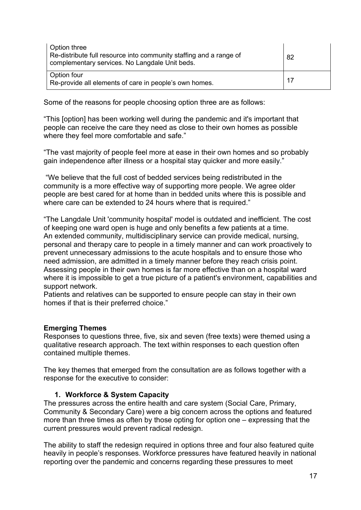| Option three<br>Re-distribute full resource into community staffing and a range of<br>complementary services. No Langdale Unit beds. | 82  |
|--------------------------------------------------------------------------------------------------------------------------------------|-----|
| Option four<br>Re-provide all elements of care in people's own homes.                                                                | -17 |

Some of the reasons for people choosing option three are as follows:

"This [option] has been working well during the pandemic and it's important that people can receive the care they need as close to their own homes as possible where they feel more comfortable and safe."

"The vast majority of people feel more at ease in their own homes and so probably gain independence after illness or a hospital stay quicker and more easily."

"We believe that the full cost of bedded services being redistributed in the community is a more effective way of supporting more people. We agree older people are best cared for at home than in bedded units where this is possible and where care can be extended to 24 hours where that is required."

"The Langdale Unit 'community hospital' model is outdated and inefficient. The cost of keeping one ward open is huge and only benefits a few patients at a time. An extended community, multidisciplinary service can provide medical, nursing, personal and therapy care to people in a timely manner and can work proactively to prevent unnecessary admissions to the acute hospitals and to ensure those who need admission, are admitted in a timely manner before they reach crisis point. Assessing people in their own homes is far more effective than on a hospital ward where it is impossible to get a true picture of a patient's environment, capabilities and support network.

Patients and relatives can be supported to ensure people can stay in their own homes if that is their preferred choice."

#### **Emerging Themes**

Responses to questions three, five, six and seven (free texts) were themed using a qualitative research approach. The text within responses to each question often contained multiple themes.

The key themes that emerged from the consultation are as follows together with a response for the executive to consider:

#### **1. Workforce & System Capacity**

The pressures across the entire health and care system (Social Care, Primary, Community & Secondary Care) were a big concern across the options and featured more than three times as often by those opting for option one – expressing that the current pressures would prevent radical redesign.

The ability to staff the redesign required in options three and four also featured quite heavily in people's responses. Workforce pressures have featured heavily in national reporting over the pandemic and concerns regarding these pressures to meet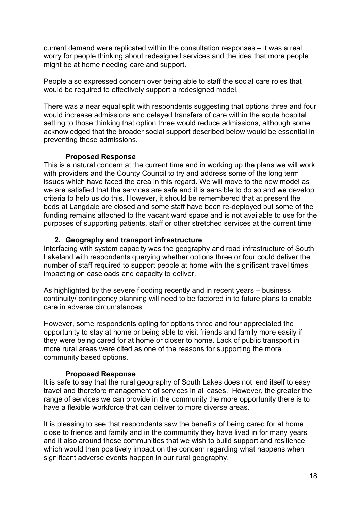current demand were replicated within the consultation responses – it was a real worry for people thinking about redesigned services and the idea that more people might be at home needing care and support.

People also expressed concern over being able to staff the social care roles that would be required to effectively support a redesigned model.

There was a near equal split with respondents suggesting that options three and four would increase admissions and delayed transfers of care within the acute hospital setting to those thinking that option three would reduce admissions, although some acknowledged that the broader social support described below would be essential in preventing these admissions.

#### **Proposed Response**

This is a natural concern at the current time and in working up the plans we will work with providers and the County Council to try and address some of the long term issues which have faced the area in this regard. We will move to the new model as we are satisfied that the services are safe and it is sensible to do so and we develop criteria to help us do this. However, it should be remembered that at present the beds at Langdale are closed and some staff have been re-deployed but some of the funding remains attached to the vacant ward space and is not available to use for the purposes of supporting patients, staff or other stretched services at the current time

#### **2. Geography and transport infrastructure**

Interfacing with system capacity was the geography and road infrastructure of South Lakeland with respondents querying whether options three or four could deliver the number of staff required to support people at home with the significant travel times impacting on caseloads and capacity to deliver.

As highlighted by the severe flooding recently and in recent years – business continuity/ contingency planning will need to be factored in to future plans to enable care in adverse circumstances.

However, some respondents opting for options three and four appreciated the opportunity to stay at home or being able to visit friends and family more easily if they were being cared for at home or closer to home. Lack of public transport in more rural areas were cited as one of the reasons for supporting the more community based options.

#### **Proposed Response**

It is safe to say that the rural geography of South Lakes does not lend itself to easy travel and therefore management of services in all cases. However, the greater the range of services we can provide in the community the more opportunity there is to have a flexible workforce that can deliver to more diverse areas.

It is pleasing to see that respondents saw the benefits of being cared for at home close to friends and family and in the community they have lived in for many years and it also around these communities that we wish to build support and resilience which would then positively impact on the concern regarding what happens when significant adverse events happen in our rural geography.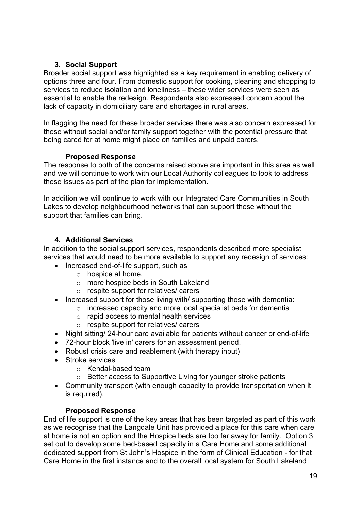#### **3. Social Support**

Broader social support was highlighted as a key requirement in enabling delivery of options three and four. From domestic support for cooking, cleaning and shopping to services to reduce isolation and loneliness – these wider services were seen as essential to enable the redesign. Respondents also expressed concern about the lack of capacity in domiciliary care and shortages in rural areas.

In flagging the need for these broader services there was also concern expressed for those without social and/or family support together with the potential pressure that being cared for at home might place on families and unpaid carers.

#### **Proposed Response**

The response to both of the concerns raised above are important in this area as well and we will continue to work with our Local Authority colleagues to look to address these issues as part of the plan for implementation.

In addition we will continue to work with our Integrated Care Communities in South Lakes to develop neighbourhood networks that can support those without the support that families can bring.

#### **4. Additional Services**

In addition to the social support services, respondents described more specialist services that would need to be more available to support any redesign of services:

- Increased end-of-life support, such as
	- o hospice at home,
	- o more hospice beds in South Lakeland
	- o respite support for relatives/ carers
- Increased support for those living with/ supporting those with dementia:
	- o increased capacity and more local specialist beds for dementia
		- o rapid access to mental health services
		- o respite support for relatives/ carers
- Night sitting/ 24-hour care available for patients without cancer or end-of-life
- 72-hour block 'live in' carers for an assessment period.
- Robust crisis care and reablement (with therapy input)
- Stroke services
	- o Kendal-based team
	- o Better access to Supportive Living for younger stroke patients
- Community transport (with enough capacity to provide transportation when it is required).

#### **Proposed Response**

End of life support is one of the key areas that has been targeted as part of this work as we recognise that the Langdale Unit has provided a place for this care when care at home is not an option and the Hospice beds are too far away for family. Option 3 set out to develop some bed-based capacity in a Care Home and some additional dedicated support from St John's Hospice in the form of Clinical Education - for that Care Home in the first instance and to the overall local system for South Lakeland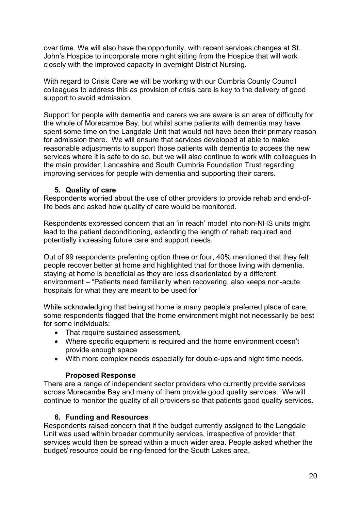over time. We will also have the opportunity, with recent services changes at St. John's Hospice to incorporate more night sitting from the Hospice that will work closely with the improved capacity in overnight District Nursing.

With regard to Crisis Care we will be working with our Cumbria County Council colleagues to address this as provision of crisis care is key to the delivery of good support to avoid admission.

Support for people with dementia and carers we are aware is an area of difficulty for the whole of Morecambe Bay, but whilst some patients with dementia may have spent some time on the Langdale Unit that would not have been their primary reason for admission there. We will ensure that services developed at able to make reasonable adjustments to support those patients with dementia to access the new services where it is safe to do so, but we will also continue to work with colleagues in the main provider; Lancashire and South Cumbria Foundation Trust regarding improving services for people with dementia and supporting their carers.

#### **5. Quality of care**

Respondents worried about the use of other providers to provide rehab and end-oflife beds and asked how quality of care would be monitored.

Respondents expressed concern that an 'in reach' model into non-NHS units might lead to the patient deconditioning, extending the length of rehab required and potentially increasing future care and support needs.

Out of 99 respondents preferring option three or four, 40% mentioned that they felt people recover better at home and highlighted that for those living with dementia, staying at home is beneficial as they are less disorientated by a different environment – "Patients need familiarity when recovering, also keeps non-acute hospitals for what they are meant to be used for"

While acknowledging that being at home is many people's preferred place of care, some respondents flagged that the home environment might not necessarily be best for some individuals:

- That require sustained assessment,
- Where specific equipment is required and the home environment doesn't provide enough space
- With more complex needs especially for double-ups and night time needs.

#### **Proposed Response**

There are a range of independent sector providers who currently provide services across Morecambe Bay and many of them provide good quality services. We will continue to monitor the quality of all providers so that patients good quality services.

#### **6. Funding and Resources**

Respondents raised concern that if the budget currently assigned to the Langdale Unit was used within broader community services, irrespective of provider that services would then be spread within a much wider area. People asked whether the budget/ resource could be ring-fenced for the South Lakes area.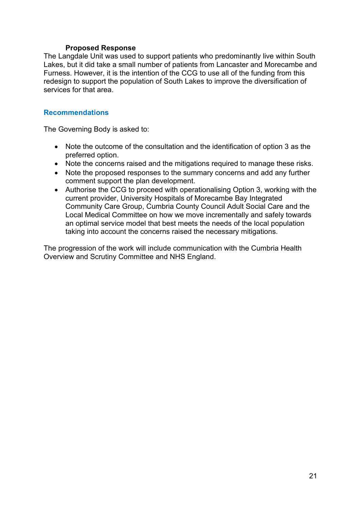#### **Proposed Response**

The Langdale Unit was used to support patients who predominantly live within South Lakes, but it did take a small number of patients from Lancaster and Morecambe and Furness. However, it is the intention of the CCG to use all of the funding from this redesign to support the population of South Lakes to improve the diversification of services for that area.

#### <span id="page-23-0"></span>**Recommendations**

The Governing Body is asked to:

- Note the outcome of the consultation and the identification of option 3 as the preferred option.
- Note the concerns raised and the mitigations required to manage these risks.
- Note the proposed responses to the summary concerns and add any further comment support the plan development.
- Authorise the CCG to proceed with operationalising Option 3, working with the current provider, University Hospitals of Morecambe Bay Integrated Community Care Group, Cumbria County Council Adult Social Care and the Local Medical Committee on how we move incrementally and safely towards an optimal service model that best meets the needs of the local population taking into account the concerns raised the necessary mitigations.

The progression of the work will include communication with the Cumbria Health Overview and Scrutiny Committee and NHS England.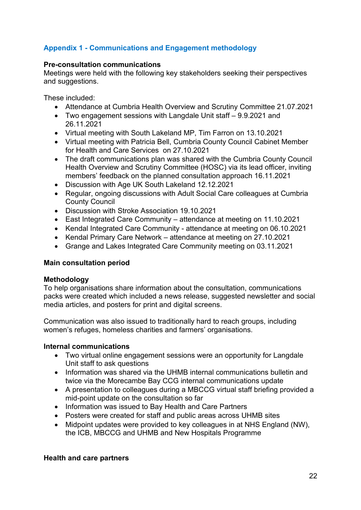#### <span id="page-24-0"></span>**Appendix 1 - Communications and Engagement methodology**

#### **Pre-consultation communications**

Meetings were held with the following key stakeholders seeking their perspectives and suggestions.

These included:

- Attendance at Cumbria Health Overview and Scrutiny Committee 21.07.2021
- Two engagement sessions with Langdale Unit staff 9.9.2021 and 26.11.2021
- Virtual meeting with South Lakeland MP, Tim Farron on 13.10.2021
- Virtual meeting with Patricia Bell, Cumbria County Council Cabinet Member for Health and Care Services on 27.10.2021
- The draft communications plan was shared with the Cumbria County Council Health Overview and Scrutiny Committee (HOSC) via its lead officer, inviting members' feedback on the planned consultation approach 16.11.2021
- Discussion with Age UK South Lakeland 12.12.2021
- Regular, ongoing discussions with Adult Social Care colleagues at Cumbria County Council
- Discussion with Stroke Association 19.10.2021
- East Integrated Care Community attendance at meeting on 11.10.2021
- Kendal Integrated Care Community attendance at meeting on 06.10.2021
- Kendal Primary Care Network attendance at meeting on 27.10.2021
- Grange and Lakes Integrated Care Community meeting on 03.11.2021

#### **Main consultation period**

#### **Methodology**

To help organisations share information about the consultation, communications packs were created which included a news release, suggested newsletter and social media articles, and posters for print and digital screens.

Communication was also issued to traditionally hard to reach groups, including women's refuges, homeless charities and farmers' organisations.

#### **Internal communications**

- Two virtual online engagement sessions were an opportunity for Langdale Unit staff to ask questions
- Information was shared via the UHMB internal communications bulletin and twice via the Morecambe Bay CCG internal communications update
- A presentation to colleagues during a MBCCG virtual staff briefing provided a mid-point update on the consultation so far
- Information was issued to Bay Health and Care Partners
- Posters were created for staff and public areas across UHMB sites
- Midpoint updates were provided to key colleagues in at NHS England (NW). the ICB, MBCCG and UHMB and New Hospitals Programme

#### **Health and care partners**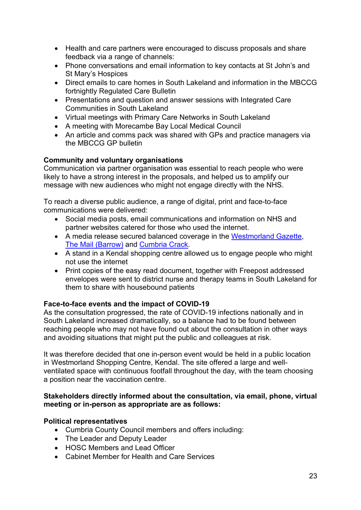- Health and care partners were encouraged to discuss proposals and share feedback via a range of channels:
- Phone conversations and email information to key contacts at St John's and St Mary's Hospices
- Direct emails to care homes in South Lakeland and information in the MBCCG fortnightly Regulated Care Bulletin
- Presentations and question and answer sessions with Integrated Care Communities in South Lakeland
- Virtual meetings with Primary Care Networks in South Lakeland
- A meeting with Morecambe Bay Local Medical Council
- An article and comms pack was shared with GPs and practice managers via the MBCCG GP bulletin

#### **Community and voluntary organisations**

Communication via partner organisation was essential to reach people who were likely to have a strong interest in the proposals, and helped us to amplify our message with new audiences who might not engage directly with the NHS.

To reach a diverse public audience, a range of digital, print and face-to-face communications were delivered:

- Social media posts, email communications and information on NHS and partner websites catered for those who used the internet.
- A media release secured balanced coverage in the [Westmorland Gazette,](https://www.thewestmorlandgazette.co.uk/news/19723129.proposal-repurpose-ward-kendals-westmorland-general-hospital/) [The Mail \(Barrow\)](https://www.nwemail.co.uk/news/19723485.south-lakes-health-bosses-plan-3m-funding-plan/) and [Cumbria Crack.](https://cumbriacrack.com/2021/11/17/have-your-say-on-future-of-community-healthcare-in-south-lakeland/)
- A stand in a Kendal shopping centre allowed us to engage people who might not use the internet
- Print copies of the easy read document, together with Freepost addressed envelopes were sent to district nurse and therapy teams in South Lakeland for them to share with housebound patients

#### **Face-to-face events and the impact of COVID-19**

As the consultation progressed, the rate of COVID-19 infections nationally and in South Lakeland increased dramatically, so a balance had to be found between reaching people who may not have found out about the consultation in other ways and avoiding situations that might put the public and colleagues at risk.

It was therefore decided that one in-person event would be held in a public location in Westmorland Shopping Centre, Kendal. The site offered a large and wellventilated space with continuous footfall throughout the day, with the team choosing a position near the vaccination centre.

#### **Stakeholders directly informed about the consultation, via email, phone, virtual meeting or in-person as appropriate are as follows:**

#### **Political representatives**

- Cumbria County Council members and offers including:
- The Leader and Deputy Leader
- HOSC Members and Lead Officer
- Cabinet Member for Health and Care Services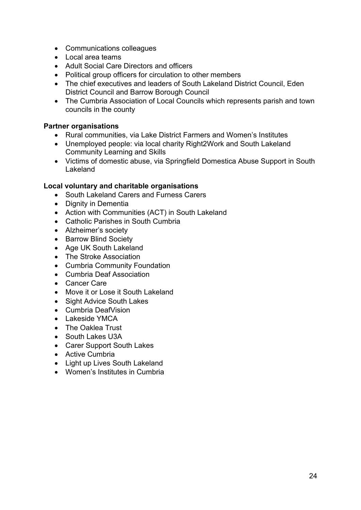- Communications colleagues
- Local area teams
- Adult Social Care Directors and officers
- Political group officers for circulation to other members
- The chief executives and leaders of South Lakeland District Council, Eden District Council and Barrow Borough Council
- The Cumbria Association of Local Councils which represents parish and town councils in the county

#### **Partner organisations**

- Rural communities, via Lake District Farmers and Women's Institutes
- Unemployed people: via local charity Right2Work and South Lakeland Community Learning and Skills
- Victims of domestic abuse, via Springfield Domestica Abuse Support in South **Lakeland**

#### **Local voluntary and charitable organisations**

- South Lakeland Carers and Furness Carers
- Dignity in Dementia
- Action with Communities (ACT) in South Lakeland
- Catholic Parishes in South Cumbria
- Alzheimer's society
- Barrow Blind Society
- Age UK South Lakeland
- The Stroke Association
- Cumbria Community Foundation
- Cumbria Deaf Association
- Cancer Care
- Move it or Lose it South Lakeland
- Sight Advice South Lakes
- Cumbria DeafVision
- Lakeside YMCA
- The Oaklea Trust
- South Lakes U3A
- Carer Support South Lakes
- Active Cumbria
- Light up Lives South Lakeland
- Women's Institutes in Cumbria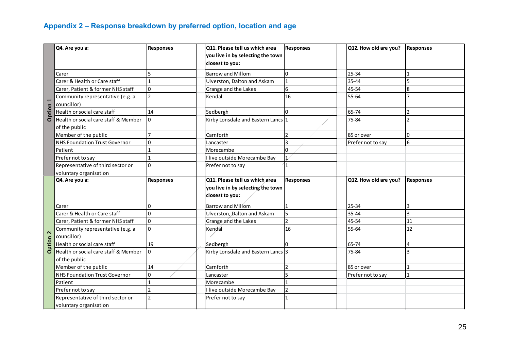## **Appendix 2 – Response breakdown by preferred option, location and age**

|                | Q4. Are you a:                                  | <b>Responses</b> | Q11. Please tell us which area<br>you live in by selecting the town<br>closest to you: | <b>Responses</b> | Q12. How old are you? | <b>Responses</b> |
|----------------|-------------------------------------------------|------------------|----------------------------------------------------------------------------------------|------------------|-----------------------|------------------|
|                | Carer                                           | 5                | Barrow and Millom                                                                      | 0                | 25-34                 |                  |
|                | Carer & Health or Care staff                    |                  | Ulverston, Dalton and Askam                                                            |                  | 35-44                 | 5                |
|                | Carer, Patient & former NHS staff               | l0               | Grange and the Lakes                                                                   | 6                | 45-54                 | 8                |
|                | Community representative (e.g. a                | $\overline{2}$   | Kendal                                                                                 | 16               | 55-64                 |                  |
| $\blacksquare$ | councillor)                                     |                  |                                                                                        |                  |                       |                  |
| <b>Option</b>  | Health or social care staff                     | 14               | Sedbergh                                                                               | l0               | 65-74                 |                  |
|                | Health or social care staff & Member            | I٥               | Kirby Lonsdale and Eastern Lancs 1                                                     |                  | 75-84                 | ר                |
|                | of the public                                   |                  |                                                                                        |                  |                       |                  |
|                | Member of the public                            | $\overline{7}$   | Carnforth                                                                              |                  | 85 or over            | 0                |
|                | <b>NHS Foundation Trust Governor</b>            | l0               | Lancaster                                                                              | 3                | Prefer not to say     | 6                |
|                | Patient                                         |                  | Morecambe                                                                              | 0                |                       |                  |
|                | Prefer not to say                               |                  | I live outside Morecambe Bay                                                           |                  |                       |                  |
|                | Representative of third sector or               | $\overline{0}$   | Prefer not to say                                                                      |                  |                       |                  |
|                | voluntary organisation                          |                  |                                                                                        |                  |                       |                  |
|                |                                                 |                  |                                                                                        |                  |                       |                  |
|                | Q4. Are you a:                                  | <b>Responses</b> | Q11. Please tell us which area<br>you live in by selecting the town<br>closest to you: | <b>Responses</b> | Q12. How old are you? | <b>Responses</b> |
|                | Carer                                           | $\Omega$         | Barrow and Millom                                                                      |                  | $25 - 34$             | 3                |
|                | Carer & Health or Care staff                    | O                | Ulverston, Dalton and Askam                                                            | 5                | 35-44                 | 3                |
|                | Carer, Patient & former NHS staff               | lo               | Grange and the Lakes                                                                   |                  | 45-54                 | 11               |
| $\sim$         | Community representative (e.g. a<br>councillor) | l0               | Kendal                                                                                 | 16               | 55-64                 | 12               |
|                | Health or social care staff                     | 19               | Sedbergh                                                                               | l0               | 65-74                 | $\overline{4}$   |
| <b>Option</b>  | Health or social care staff & Member            | I٥               | Kirby Lonsdale and Eastern Lancs 3                                                     |                  | 75-84                 |                  |
|                | of the public                                   |                  |                                                                                        |                  |                       |                  |
|                | Member of the public                            | 14               | Carnforth                                                                              | $\overline{2}$   | 85 or over            | $\overline{1}$   |
|                | <b>NHS Foundation Trust Governor</b>            | 0                | Lancaster                                                                              |                  | Prefer not to say     |                  |
|                | Patient                                         | 1                | Morecambe                                                                              |                  |                       |                  |
|                | Prefer not to say                               | $\overline{2}$   | I live outside Morecambe Bay                                                           | 2                |                       |                  |
|                | Representative of third sector or               | $\overline{2}$   | Prefer not to say                                                                      |                  |                       |                  |